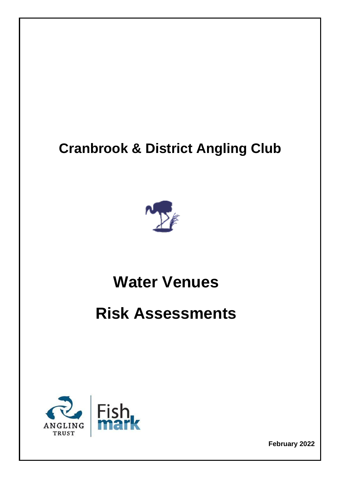## **Cranbrook & District Angling Club**



## **Water Venues**

# **Risk Assessments**



**February 2022**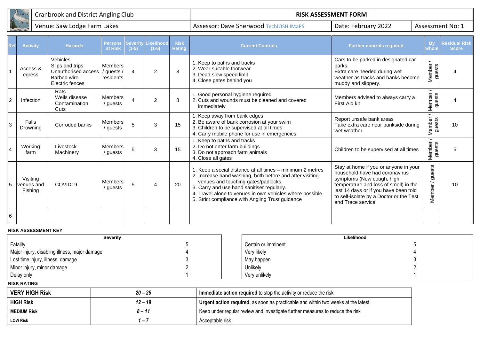|   |                 | Cranbrook and District Angling Club |                           |         |         |                              | <b>RISK ASSESSMENT FORM</b>            |                                     |                  |              |  |  |
|---|-----------------|-------------------------------------|---------------------------|---------|---------|------------------------------|----------------------------------------|-------------------------------------|------------------|--------------|--|--|
| M |                 | Venue: Saw Lodge Farm Lakes         |                           |         |         |                              | Assessor: Dave Sherwood TechlOSH IMaPS | Date: February 2022                 | Assessment No: 1 |              |  |  |
|   | <b>Activity</b> | <b>Hazards</b>                      | <b>Persons</b><br>at Risk | $(1-5)$ | $(1-5)$ | <b>Risk</b><br><b>Rating</b> | <b>Current Controls</b>                | <b>Further controls required</b>    |                  | <b>Score</b> |  |  |
|   |                 | <i>Mobielos</i>                     |                           |         |         |                              |                                        | Care to he narked in decianated car |                  |              |  |  |

|   | <b>Activity</b>                   | <b>Hazards</b>                                                                       | <b>Persons</b><br>at Risk                 | <b>Severity</b><br>$(1-5)$ | .ikelihood<br>$(1-5)$ | <b>Risk</b><br><b>Rating</b> | <b>Current Controls</b>                                                                                                                                                                                                                                                                                                     | <b>Further controls required</b>                                                                                                                                                                                                                        | <b>By</b><br>whom                            | <b>Residual Risk</b><br><b>Score</b> |
|---|-----------------------------------|--------------------------------------------------------------------------------------|-------------------------------------------|----------------------------|-----------------------|------------------------------|-----------------------------------------------------------------------------------------------------------------------------------------------------------------------------------------------------------------------------------------------------------------------------------------------------------------------------|---------------------------------------------------------------------------------------------------------------------------------------------------------------------------------------------------------------------------------------------------------|----------------------------------------------|--------------------------------------|
|   | Access &<br>egress                | Vehicles<br>Slips and trips<br>Unauthorised access<br>Barbed wire<br>Electric fences | <b>Members</b><br>/ guests /<br>residents | 4                          | $\overline{2}$        | 8                            | 1. Keep to paths and tracks<br>2. Wear suitable footwear<br>3. Dead slow speed limit<br>4. Close gates behind you                                                                                                                                                                                                           | Cars to be parked in designated car<br>parks.<br>Extra care needed during wet<br>weather as tracks and banks become<br>muddy and slippery.                                                                                                              | Member<br>guests                             |                                      |
|   | Infection                         | Rats<br>Weils disease<br>Contamination<br>Cuts                                       | <b>Members</b><br>/ guests                | $\overline{A}$             | $\overline{2}$        | 8                            | 1. Good personal hygiene required<br>2. Cuts and wounds must be cleaned and covered<br>immediately                                                                                                                                                                                                                          | Members advised to always carry a<br>First Aid kit                                                                                                                                                                                                      | $\overline{\phantom{0}}$<br>Member<br>guests |                                      |
|   | Falls<br>Drowning                 | Corroded banks                                                                       | Members<br>/ guests                       | 5                          | 3                     | 15                           | 1. Keep away from bank edges<br>2. Be aware of bank corrosion at your swim<br>3. Children to be supervised at all times<br>4. Carry mobile phone for use in emergencies                                                                                                                                                     | Report unsafe bank areas<br>Take extra care near bankside during<br>wet weather.                                                                                                                                                                        | Member<br>guests                             | 10                                   |
|   | Working<br>farm                   | Livestock<br>Machinery                                                               | <b>Members</b><br>/ guests                | 5                          | 3                     | 15                           | 1. Keep to paths and tracks<br>2. Do not enter farm buildings<br>3. Do not approach farm animals<br>4. Close all gates                                                                                                                                                                                                      | Children to be supervised at all times                                                                                                                                                                                                                  | Member<br>guests                             |                                      |
|   | Visitina<br>venues and<br>Fishing | COVID <sub>19</sub>                                                                  | <b>Members</b><br>/ guests                | 5                          | 4                     | 20                           | 1. Keep a social distance at all times – minimum 2 metres<br>2. Increase hand washing, both before and after visiting<br>venues and touching gates/padlocks.<br>3. Carry and use hand sanitiser regularly.<br>4. Travel alone to venues in own vehicles where possible.<br>5. Strict compliance with Angling Trust guidance | Stay at home if you or anyone in your<br>household have had coronavirus<br>symptoms (New cough, high<br>temperature and loss of smell) in the<br>last 14 days or if you have been told<br>to self-isolate by a Doctor or the Test<br>and Trace service. | guests<br>Member /                           | 10                                   |
| 6 |                                   |                                                                                      |                                           |                            |                       |                              |                                                                                                                                                                                                                                                                                                                             |                                                                                                                                                                                                                                                         |                                              |                                      |

## **RISK ASSESSMENT KEY**

| Severity                                      |  | Likelihood          |  |  |
|-----------------------------------------------|--|---------------------|--|--|
| Fatality                                      |  | Certain or imminent |  |  |
| Major injury, disabling illness, major damage |  | Very likely         |  |  |
| Lost time injury, illness, damage             |  | May happen          |  |  |
| Minor injury, minor damage                    |  | Unlikely            |  |  |
| Delay only                                    |  | Very unlikely       |  |  |

| <b>VERY HIGH Risk</b> | $20 - 25$                | <b>Immediate action required</b> to stop the activity or reduce the risk          |  |  |
|-----------------------|--------------------------|-----------------------------------------------------------------------------------|--|--|
| <b>HIGH Risk</b>      | $12 - 19$                | Urgent action required, as soon as practicable and within two weeks at the latest |  |  |
| <b>MEDIUM Risk</b>    | 8 – 11                   | Keep under regular review and investigate further measures to reduce the risk     |  |  |
| <b>LOW Risk</b>       | $\overline{\phantom{a}}$ | Acceptable risk                                                                   |  |  |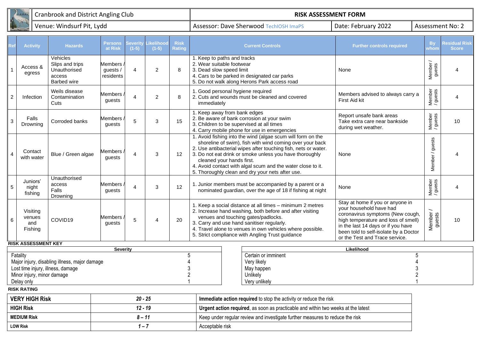|                |                                      | <b>Cranbrook and District Angling Club</b>                                         |                                         |                   |                            |                              | <b>RISK ASSESSMENT FORM</b>                                                                                                                                                                                                                                                                                                                                                                                                                                                                                                                                                            |                                                                                  |                      |                                      |  |  |  |
|----------------|--------------------------------------|------------------------------------------------------------------------------------|-----------------------------------------|-------------------|----------------------------|------------------------------|----------------------------------------------------------------------------------------------------------------------------------------------------------------------------------------------------------------------------------------------------------------------------------------------------------------------------------------------------------------------------------------------------------------------------------------------------------------------------------------------------------------------------------------------------------------------------------------|----------------------------------------------------------------------------------|----------------------|--------------------------------------|--|--|--|
|                |                                      | Venue: Windsurf Pit, Lydd                                                          |                                         |                   |                            |                              | <b>Assessor: Dave Sherwood TechIOSH ImaPS</b>                                                                                                                                                                                                                                                                                                                                                                                                                                                                                                                                          | Date: February 2022                                                              |                      | Assessment No: 2                     |  |  |  |
|                | <b>Activity</b>                      | <b>Hazards</b>                                                                     | <b>Persons</b><br>at Risk               | everit<br>$(1-5)$ | <b>ikelihoo</b><br>$(1-5)$ | <b>Risk</b><br><b>Rating</b> | <b>Current Controls</b>                                                                                                                                                                                                                                                                                                                                                                                                                                                                                                                                                                | <b>Further controls required</b>                                                 | <b>By</b><br>$w$ hom | <b>Residual Risk</b><br><b>Score</b> |  |  |  |
| $\mathbf{1}$   | Access &<br>egress                   | Vehicles<br>Slips and trips<br>Unauthorised<br>access<br><b>Barbed wire</b>        | <b>Members</b><br>guests /<br>residents | $\overline{4}$    | $\overline{2}$             | 8                            | 1. Keep to paths and tracks<br>2. Wear suitable footwear<br>3. Dead slow speed limit<br>4. Cars to be parked in designated car parks<br>5. Do not walk along Herons Park access road                                                                                                                                                                                                                                                                                                                                                                                                   | None                                                                             | Member /<br>guests   | Δ                                    |  |  |  |
| $\overline{c}$ | Infection                            | Weils disease<br>Contamination<br>Cuts                                             | <b>Members</b><br>guests                | $\overline{4}$    | $\overline{2}$             | 8                            | 1. Good personal hygiene required<br>2. Cuts and wounds must be cleaned and covered<br>immediately                                                                                                                                                                                                                                                                                                                                                                                                                                                                                     | Members advised to always carry a<br>First Aid kit                               | Member<br>/ guests   | $\overline{A}$                       |  |  |  |
| $\mathbf 3$    | Falls<br>Drowning                    | Corroded banks                                                                     | <b>Members</b><br>quests                | 5                 | 3                          | 15                           | 1. Keep away from bank edges<br>2. Be aware of bank corrosion at your swim<br>3. Children to be supervised at all times<br>4. Carry mobile phone for use in emergencies                                                                                                                                                                                                                                                                                                                                                                                                                | Report unsafe bank areas<br>Take extra care near bankside<br>during wet weather. | Member<br>/ guests   | 10                                   |  |  |  |
| $\overline{4}$ | Contact<br>with water                | Blue / Green algae                                                                 | <b>Members</b><br>guests                | $\overline{4}$    | 3                          | 12                           | 1. Avoid fishing into the wind (algae scum will form on the<br>shoreline of swim), fish with wind coming over your back<br>2. Use antibacterial wipes after touching fish, nets or water.<br>3. Do not eat drink or smoke unless you have thoroughly<br>cleaned your hands first.<br>4. Avoid contact with algal scum and the water close to it.<br>5. Thoroughly clean and dry your nets after use.                                                                                                                                                                                   | None                                                                             | Member / guests      |                                      |  |  |  |
| 5              | Juniors'<br>night<br>fishing         | Unauthorised<br>access<br>Falls<br>Drowning                                        | <b>Members</b><br>quests                | $\overline{4}$    | 3                          | 12                           | 1. Junior members must be accompanied by a parent or a<br>nominated guardian, over the age of 18 if fishing at night                                                                                                                                                                                                                                                                                                                                                                                                                                                                   | None                                                                             | Member<br>/ guests   | $\overline{A}$                       |  |  |  |
| 6              | Visiting<br>venues<br>and<br>Fishing | COVID19                                                                            | <b>Members</b><br>guests                | 5                 | Δ                          | 20                           | Stay at home if you or anyone in<br>1. Keep a social distance at all times - minimum 2 metres<br>your household have had<br>2. Increase hand washing, both before and after visiting<br>coronavirus symptoms (New cough,<br>venues and touching gates/padlocks.<br>high temperature and loss of smell)<br>3. Carry and use hand sanitiser regularly.<br>in the last 14 days or if you have<br>4. Travel alone to venues in own vehicles where possible.<br>been told to self-isolate by a Doctor<br>5. Strict compliance with Angling Trust guidance<br>or the Test and Trace service. |                                                                                  | Member /<br>guests   | 10                                   |  |  |  |
|                | <b>RISK ASSESSMENT KEY</b>           |                                                                                    | <b>Severity</b>                         |                   |                            |                              |                                                                                                                                                                                                                                                                                                                                                                                                                                                                                                                                                                                        | Likelihood                                                                       |                      |                                      |  |  |  |
|                | Fatality                             | Major injury, disabling illness, major damage<br>Lost time injury, illness, damage |                                         |                   |                            |                              | Certain or imminent<br>Very likely<br>May happen                                                                                                                                                                                                                                                                                                                                                                                                                                                                                                                                       |                                                                                  | 5                    |                                      |  |  |  |

| Verv unlikelv | $\sim$<br>Delay only |
|---------------|----------------------|
|---------------|----------------------|

**RISK RATING**

| <b>VERY HIGH Risk</b> | $20 - 25$                                                                                      | Immediate action required to stop the activity or reduce the risk             |  |
|-----------------------|------------------------------------------------------------------------------------------------|-------------------------------------------------------------------------------|--|
| <b>HIGH Risk</b>      | Urgent action required, as soon as practicable and within two weeks at the latest<br>$12 - 19$ |                                                                               |  |
| MEDIUM Risk           | 8 – 11                                                                                         | Keep under regular review and investigate further measures to reduce the risk |  |
| <b>LOW Risk</b>       | $\overline{\phantom{0}}$                                                                       | Acceptable risk                                                               |  |

Minor injury, minor damage 2 Unlikely 2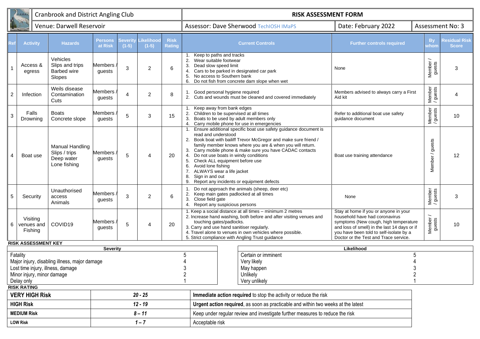| <b>Cranbrook and District Angling Club</b><br>C.A.D.A.                                                                                                           |                                   |                                                                       |                          |                    |                      |                              | <b>RISK ASSESSMENT FORM</b>                                                                               |                                                                                                                                                                                                                                                                                                                                                                                                                |                                                                                                                                                                                                                                                      |                    |                                      |  |  |
|------------------------------------------------------------------------------------------------------------------------------------------------------------------|-----------------------------------|-----------------------------------------------------------------------|--------------------------|--------------------|----------------------|------------------------------|-----------------------------------------------------------------------------------------------------------|----------------------------------------------------------------------------------------------------------------------------------------------------------------------------------------------------------------------------------------------------------------------------------------------------------------------------------------------------------------------------------------------------------------|------------------------------------------------------------------------------------------------------------------------------------------------------------------------------------------------------------------------------------------------------|--------------------|--------------------------------------|--|--|
|                                                                                                                                                                  |                                   | Venue: Darwell Reservoir                                              |                          |                    |                      |                              |                                                                                                           | <b>Assessor: Dave Sherwood TechIOSH IMaPS</b>                                                                                                                                                                                                                                                                                                                                                                  | Date: February 2022                                                                                                                                                                                                                                  | Assessment No: 3   |                                      |  |  |
|                                                                                                                                                                  | <b>Activity</b>                   | <b>Hazards</b>                                                        | Persons<br>at Risk       | everity<br>$(1-5)$ | .ikelihoo<br>$(1-5)$ | <b>Risk</b><br><b>Rating</b> |                                                                                                           | <b>Current Controls</b>                                                                                                                                                                                                                                                                                                                                                                                        | <b>Further controls required</b>                                                                                                                                                                                                                     | <b>By</b><br>whom  | <b>Residual Risk</b><br><b>Score</b> |  |  |
| $\mathbf{1}$                                                                                                                                                     | Access &<br>egress                | Vehicles<br>Slips and trips<br><b>Barbed wire</b><br>Slopes           | Members<br>guests        | 3                  | $\overline{c}$       | 6                            | Keep to paths and tracks<br>2.<br>Wear suitable footwear<br>Dead slow speed limit<br>3.<br>4.<br>5.<br>6. | Cars to be parked in designated car park<br>No access to Southern bank<br>Do not fish from concrete dam slope when wet                                                                                                                                                                                                                                                                                         | None                                                                                                                                                                                                                                                 | Member /<br>guests | 3                                    |  |  |
| $\boldsymbol{2}$                                                                                                                                                 | Infection                         | Weils disease<br>Contamination<br>Cuts                                | Members<br>guests        | $\overline{4}$     | $\overline{2}$       | 8                            |                                                                                                           | 1. Good personal hygiene required<br>2. Cuts and wounds must be cleaned and covered immediately                                                                                                                                                                                                                                                                                                                | Members advised to always carry a First<br>Aid kit                                                                                                                                                                                                   | Member<br>/ guests | $\boldsymbol{\Lambda}$               |  |  |
| $\sqrt{3}$                                                                                                                                                       | Falls<br>Drowning                 | <b>Boats</b><br>Concrete slope                                        | Members<br>guests        | 5                  | 3                    | 15                           | 2.<br>3.<br>4.                                                                                            | Keep away from bank edges<br>Children to be supervised at all times<br>Boats to be used by adult members only<br>Carry mobile phone for use in emergencies                                                                                                                                                                                                                                                     | Refer to additional boat use safety<br>guidance document                                                                                                                                                                                             | Member<br>/ guests | 10                                   |  |  |
| $\overline{4}$                                                                                                                                                   | Boat use                          | <b>Manual Handling</b><br>Slips / trips<br>Deep water<br>Lone fishing | <b>Members</b><br>guests | 5                  | 4                    | 20                           | read and understood<br>3.<br>4.<br>5.<br>Avoid lone fishing<br>6.<br>7.<br>Sign in and out<br>8.<br>9.    | Ensure additional specific boat use safety guidance document is<br>2. Book boat with bailiff Trevor McGregor and make sure friend /<br>family member knows where you are & when you will return.<br>Carry mobile phone & make sure you have CADAC contacts<br>Do not use boats in windy conditions<br>Check ALL equipment before use<br>ALWAYS wear a life jacket<br>Report any incidents or equipment defects | Boat use training attendance                                                                                                                                                                                                                         | Member / guests    | 12                                   |  |  |
| $\sqrt{5}$                                                                                                                                                       | Security                          | Unauthorised<br>access<br>Animals                                     | Members<br>guests        | 3                  | $\overline{2}$       | 6                            | 3.<br>Close field gate                                                                                    | Do not approach the animals (sheep, deer etc)<br>2. Keep main gates padlocked at all times<br>4. Report any suspicious persons                                                                                                                                                                                                                                                                                 | None                                                                                                                                                                                                                                                 | Member<br>/ guests | 3                                    |  |  |
| 6                                                                                                                                                                | Visiting<br>venues and<br>Fishing | COVID19                                                               | Members<br>guests        | 5                  | 4                    | 20                           | touching gates/padlocks.                                                                                  | 1. Keep a social distance at all times - minimum 2 metres<br>2. Increase hand washing, both before and after visiting venues and<br>3. Carry and use hand sanitiser regularly.<br>4. Travel alone to venues in own vehicles where possible.<br>5. Strict compliance with Angling Trust guidance                                                                                                                | Stay at home if you or anyone in your<br>household have had coronavirus<br>symptoms (New cough, high temperature<br>and loss of smell) in the last 14 days or if<br>you have been told to self-isolate by a<br>Doctor or the Test and Trace service. | Member /<br>guests | 10                                   |  |  |
|                                                                                                                                                                  | <b>RISK ASSESSMENT KEY</b>        |                                                                       | <b>Severity</b>          |                    |                      |                              |                                                                                                           |                                                                                                                                                                                                                                                                                                                                                                                                                | Likelihood                                                                                                                                                                                                                                           |                    |                                      |  |  |
| Fatality<br>Major injury, disabling illness, major damage<br>Lost time injury, illness, damage<br>Minor injury, minor damage<br>Delay only<br><b>RISK RATING</b> |                                   |                                                                       |                          |                    |                      |                              | 5                                                                                                         | 5<br>Certain or imminent<br>Very likely<br>May happen<br>Unlikely<br>Very unlikely                                                                                                                                                                                                                                                                                                                             |                                                                                                                                                                                                                                                      |                    |                                      |  |  |
|                                                                                                                                                                  | <b>VERY HIGH Risk</b>             |                                                                       |                          |                    | $20 - 25$            |                              |                                                                                                           | Immediate action required to stop the activity or reduce the risk                                                                                                                                                                                                                                                                                                                                              |                                                                                                                                                                                                                                                      |                    |                                      |  |  |
|                                                                                                                                                                  | <b>HIGH Risk</b>                  |                                                                       |                          |                    | $12 - 19$            |                              |                                                                                                           | Urgent action required, as soon as practicable and within two weeks at the latest                                                                                                                                                                                                                                                                                                                              |                                                                                                                                                                                                                                                      |                    |                                      |  |  |
|                                                                                                                                                                  | <b>MEDIUM Risk</b>                |                                                                       |                          |                    | $8 - 11$             |                              | Keep under regular review and investigate further measures to reduce the risk                             |                                                                                                                                                                                                                                                                                                                                                                                                                |                                                                                                                                                                                                                                                      |                    |                                      |  |  |
| $1 - 7$<br><b>LOW Risk</b>                                                                                                                                       |                                   |                                                                       |                          |                    |                      |                              | Acceptable risk                                                                                           |                                                                                                                                                                                                                                                                                                                                                                                                                |                                                                                                                                                                                                                                                      |                    |                                      |  |  |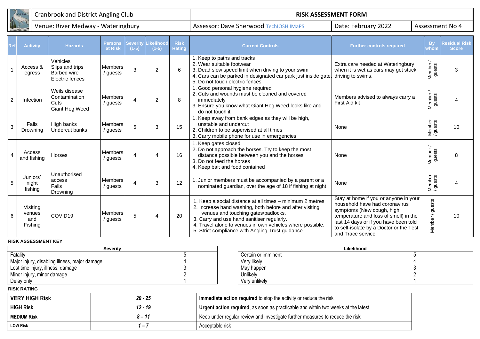| <b>THE I</b> Cranbrook and District Angling Club | <b>RISK ASSESSMENT FORM</b>                     |                     |                 |  |  |  |
|--------------------------------------------------|-------------------------------------------------|---------------------|-----------------|--|--|--|
| Venue: River Medway - Wateringbury               | <b>I Assessor: Dave Sherwood TechlOSH IMaPS</b> | Date: February 2022 | Assessment No 4 |  |  |  |

| Rei            | <b>Activity</b>                      | <b>Hazards</b>                                                | Persons<br>at Risk         | Severity<br>$(1-5)$ | Likelihood<br>$(1-5)$ | <b>Risk</b><br><b>Rating</b> | <b>Current Controls</b>                                                                                                                                                                                                                                                                                                     | <b>Further controls required</b>                                                                                                                                                                                                                        | <b>By</b><br>whom  | <b>Residual Risk</b><br><b>Score</b> |
|----------------|--------------------------------------|---------------------------------------------------------------|----------------------------|---------------------|-----------------------|------------------------------|-----------------------------------------------------------------------------------------------------------------------------------------------------------------------------------------------------------------------------------------------------------------------------------------------------------------------------|---------------------------------------------------------------------------------------------------------------------------------------------------------------------------------------------------------------------------------------------------------|--------------------|--------------------------------------|
|                | Access &<br>egress                   | Vehicles<br>Slips and trips<br>Barbed wire<br>Electric fences | Members<br>/ guests        | 3                   | $\overline{2}$        | 6                            | 1. Keep to paths and tracks<br>2. Wear suitable footwear<br>3. Dead slow speed limit when driving to your swim<br>4. Cars can be parked in designated car park just inside gate<br>5. Do not touch electric fences                                                                                                          | Extra care needed at Wateringbury<br>when it is wet as cars may get stuck<br>driving to swims.                                                                                                                                                          | Member /<br>guests | 3                                    |
| $\overline{2}$ | Infection                            | Weils disease<br>Contamination<br>Cuts<br>Giant Hog Weed      | <b>Members</b><br>/ guests | $\overline{4}$      | $\overline{2}$        | 8                            | 1. Good personal hygiene required<br>2. Cuts and wounds must be cleaned and covered<br>Members advised to always carry a<br>immediately<br>First Aid kit<br>3. Ensure you know what Giant Hog Weed looks like and<br>do not touch it                                                                                        |                                                                                                                                                                                                                                                         | Member /<br>guests |                                      |
| $\mathbf{3}$   | Falls<br>Drowning                    | High banks<br>Undercut banks                                  | Members<br>guests          | 5                   | 3                     | 15                           | 1. Keep away from bank edges as they will be high,<br>unstable and undercut<br>2. Children to be supervised at all times<br>3. Carry mobile phone for use in emergencies                                                                                                                                                    | None                                                                                                                                                                                                                                                    | Member<br>/ guests | 10                                   |
| $\overline{4}$ | Access<br>and fishing                | Horses                                                        | <b>Members</b><br>guests   | 4                   | 4                     | 16                           | 1. Keep gates closed<br>2. Do not approach the horses. Try to keep the most<br>distance possible between you and the horses.<br>3. Do not feed the horses<br>4. Keep bait and food contained                                                                                                                                | None                                                                                                                                                                                                                                                    | Member /<br>guests | 8                                    |
| 5              | Juniors'<br>night<br>fishing         | Unauthorised<br>access<br>Falls<br>Drowning                   | <b>Members</b><br>guests   | 4                   | 3                     | 12                           | 1. Junior members must be accompanied by a parent or a<br>nominated guardian, over the age of 18 if fishing at night                                                                                                                                                                                                        | None                                                                                                                                                                                                                                                    | Member<br>/ guests | Δ                                    |
| 6              | Visiting<br>venues<br>and<br>Fishing | COVID19                                                       | <b>Members</b><br>guests   | 5                   | 4                     | 20                           | 1. Keep a social distance at all times - minimum 2 metres<br>2. Increase hand washing, both before and after visiting<br>venues and touching gates/padlocks.<br>3. Carry and use hand sanitiser regularly.<br>4. Travel alone to venues in own vehicles where possible.<br>5. Strict compliance with Angling Trust guidance | Stay at home if you or anyone in your<br>household have had coronavirus<br>symptoms (New cough, high<br>temperature and loss of smell) in the<br>last 14 days or if you have been told<br>to self-isolate by a Doctor or the Test<br>and Trace service. | Member / guests    | 10                                   |

**LOW Risk** *1 – 7* Acceptable risk

|                                               | <b>Severity</b> |  | Likelihood                                                                        |  |  |
|-----------------------------------------------|-----------------|--|-----------------------------------------------------------------------------------|--|--|
| Fatality                                      |                 |  | Certain or imminent                                                               |  |  |
| Major injury, disabling illness, major damage |                 |  | Very likely                                                                       |  |  |
| Lost time injury, illness, damage             |                 |  | May happen                                                                        |  |  |
| Minor injury, minor damage                    |                 |  | Unlikely                                                                          |  |  |
| Delay only                                    |                 |  | Very unlikely                                                                     |  |  |
| <b>RISK RATING</b>                            |                 |  |                                                                                   |  |  |
| <b>VERY HIGH Risk</b><br>$20 - 25$            |                 |  | Immediate action required to stop the activity or reduce the risk                 |  |  |
| <b>HIGH Risk</b><br>$12 - 19$                 |                 |  | Urgent action required, as soon as practicable and within two weeks at the latest |  |  |
| <b>MEDIUM Risk</b>                            | $8 - 11$        |  | Keep under regular review and investigate further measures to reduce the risk     |  |  |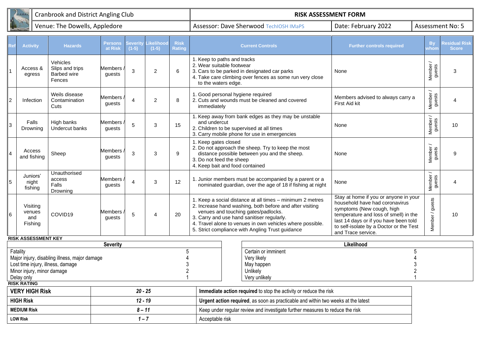| <b>Cranbrook and District Angling Club</b><br>C.A.D.A |                                                                    |                                                             |                           |                           |                                               |                              | <b>RISK ASSESSMENT FORM</b>                                                                                                                                                                                                                                                                                                 |                                                                                                                                                                                                                                                         |                                              |                                      |  |
|-------------------------------------------------------|--------------------------------------------------------------------|-------------------------------------------------------------|---------------------------|---------------------------|-----------------------------------------------|------------------------------|-----------------------------------------------------------------------------------------------------------------------------------------------------------------------------------------------------------------------------------------------------------------------------------------------------------------------------|---------------------------------------------------------------------------------------------------------------------------------------------------------------------------------------------------------------------------------------------------------|----------------------------------------------|--------------------------------------|--|
|                                                       | Venue: The Dowells, Appledore                                      |                                                             |                           |                           | <b>Assessor: Dave Sherwood TechIOSH IMaPS</b> | Date: February 2022          |                                                                                                                                                                                                                                                                                                                             | <b>Assessment No: 5</b>                                                                                                                                                                                                                                 |                                              |                                      |  |
|                                                       | <b>Activity</b>                                                    | <b>Hazards</b>                                              | <b>Persons</b><br>at Risk | <b>Severit</b><br>$(1-5)$ | <b>ikelihoo</b><br>$(1-5)$                    | <b>Risk</b><br><b>Rating</b> | <b>Current Controls</b>                                                                                                                                                                                                                                                                                                     | <b>Further controls required</b>                                                                                                                                                                                                                        | <b>By</b><br>whom                            | <b>Residual Risk</b><br><b>Score</b> |  |
|                                                       | Access &<br>egress                                                 | Vehicles<br>Slips and trips<br><b>Barbed wire</b><br>Fences | <b>Members</b><br>guests  | 3                         | $\overline{2}$                                | 6                            | 1. Keep to paths and tracks<br>2. Wear suitable footwear<br>3. Cars to be parked in designated car parks<br>4. Take care climbing over fences as some run very close<br>to the waters edge.                                                                                                                                 | None                                                                                                                                                                                                                                                    | Member /<br>guests                           | 3                                    |  |
| $\overline{2}$                                        | Infection                                                          | Weils disease<br>Contamination<br>Cuts                      | <b>Members</b><br>guests  | $\Delta$                  | $\overline{2}$                                | 8                            | 1. Good personal hygiene required<br>2. Cuts and wounds must be cleaned and covered<br>immediately                                                                                                                                                                                                                          | Members advised to always carry a<br>First Aid kit                                                                                                                                                                                                      | $\overline{\phantom{0}}$<br>Member<br>guests | $\boldsymbol{\Lambda}$               |  |
| 3                                                     | Falls<br>Drowning                                                  | High banks<br>Undercut banks                                | <b>Members</b><br>guests  | 5                         | 3                                             | 15                           | 1. Keep away from bank edges as they may be unstable<br>and undercut<br>2. Children to be supervised at all times<br>3. Carry mobile phone for use in emergencies                                                                                                                                                           | None                                                                                                                                                                                                                                                    | Member<br>guests                             | 10                                   |  |
| $\overline{4}$                                        | Access<br>and fishing                                              | Sheep                                                       | <b>Members</b><br>guests  | 3                         | 3                                             | 9                            | 1. Keep gates closed<br>2. Do not approach the sheep. Try to keep the most<br>distance possible between you and the sheep.<br>3. Do not feed the sheep<br>4. Keep bait and food contained                                                                                                                                   | None                                                                                                                                                                                                                                                    | Member /<br>guests                           | 9                                    |  |
| $\overline{5}$                                        | Juniors'<br>night<br>fishing                                       | Unauthorised<br>access<br>Falls<br>Drowning                 | <b>Members</b><br>guests  | $\overline{A}$            | 3                                             | 12                           | 1. Junior members must be accompanied by a parent or a<br>nominated guardian, over the age of 18 if fishing at night                                                                                                                                                                                                        | None                                                                                                                                                                                                                                                    | Member /<br>guests                           | $\Delta$                             |  |
| 6                                                     | Visiting<br>venues<br>and<br>Fishing<br><b>RISK ASSESSMENT KEY</b> | COVID19                                                     | <b>Members</b><br>guests  | 5                         | Δ                                             | 20                           | 1. Keep a social distance at all times - minimum 2 metres<br>2. Increase hand washing, both before and after visiting<br>venues and touching gates/padlocks.<br>3. Carry and use hand sanitiser regularly.<br>4. Travel alone to venues in own vehicles where possible.<br>5. Strict compliance with Angling Trust guidance | Stay at home if you or anyone in your<br>household have had coronavirus<br>symptoms (New cough, high<br>temperature and loss of smell) in the<br>last 14 days or if you have been told<br>to self-isolate by a Doctor or the Test<br>and Trace service. | Member / guests                              | 10                                   |  |

|                                               | <b>Severity</b> |                                                                               | Likelihood                                                                        |  |  |
|-----------------------------------------------|-----------------|-------------------------------------------------------------------------------|-----------------------------------------------------------------------------------|--|--|
| Fatality                                      |                 |                                                                               | Certain or imminent                                                               |  |  |
| Major injury, disabling illness, major damage |                 |                                                                               | Very likely                                                                       |  |  |
| Lost time injury, illness, damage             |                 |                                                                               | May happen                                                                        |  |  |
| Minor injury, minor damage                    |                 |                                                                               | Unlikely                                                                          |  |  |
| Delay only                                    |                 |                                                                               | Very unlikely                                                                     |  |  |
| <b>RISK RATING</b>                            |                 |                                                                               |                                                                                   |  |  |
| <b>VERY HIGH Risk</b><br>$20 - 25$            |                 |                                                                               | Immediate action required to stop the activity or reduce the risk                 |  |  |
| <b>HIGH Risk</b><br>$12 - 19$                 |                 |                                                                               | Urgent action required, as soon as practicable and within two weeks at the latest |  |  |
| 8 – 11<br><b>MEDIUM Risk</b>                  |                 | Keep under regular review and investigate further measures to reduce the risk |                                                                                   |  |  |
| <b>LOW Risk</b>                               | $1 - 7$         | Acceptable risk                                                               |                                                                                   |  |  |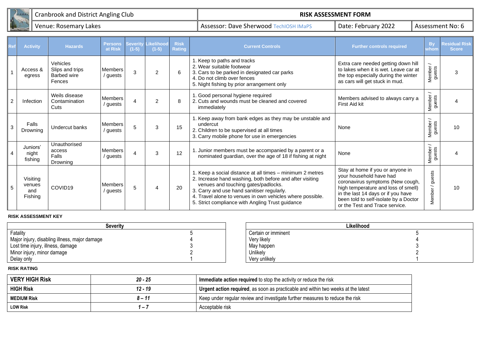

| $\overline{R}$ | <b>Activity</b>                      | <b>Hazards</b>                                              | <b>Persons</b><br>at Risk  | <b>Severity</b><br>$(1-5)$ | <b>Likelihood</b><br>$(1-5)$ | <b>Risk</b><br><b>Rating</b> | <b>Current Controls</b>                                                                                                                                                                                                                                                                                                     | <b>Further controls required</b>                                                                                                                                                                                                                        | <b>By</b><br>whom  | <b>Residual Risk</b><br><b>Score</b> |
|----------------|--------------------------------------|-------------------------------------------------------------|----------------------------|----------------------------|------------------------------|------------------------------|-----------------------------------------------------------------------------------------------------------------------------------------------------------------------------------------------------------------------------------------------------------------------------------------------------------------------------|---------------------------------------------------------------------------------------------------------------------------------------------------------------------------------------------------------------------------------------------------------|--------------------|--------------------------------------|
|                | Access &<br>egress                   | Vehicles<br>Slips and trips<br><b>Barbed wire</b><br>Fences | <b>Members</b><br>/ guests | 3                          | $\overline{2}$               | 6                            | 1. Keep to paths and tracks<br>2. Wear suitable footwear<br>3. Cars to be parked in designated car parks<br>4. Do not climb over fences<br>5. Night fishing by prior arrangement only                                                                                                                                       | Extra care needed getting down hill<br>to lakes when it is wet. Leave car at<br>the top especially during the winter<br>as cars will get stuck in mud.                                                                                                  | Member /<br>guests | З                                    |
| $\overline{2}$ | Infection                            | Weils disease<br>Contamination<br>Cuts                      | <b>Members</b><br>/ guests | 4                          | $\mathfrak{p}$               | 8                            | 1. Good personal hygiene required<br>2. Cuts and wounds must be cleaned and covered<br>immediately                                                                                                                                                                                                                          | Members advised to always carry a<br>First Aid kit                                                                                                                                                                                                      | Member /<br>guests |                                      |
| $\mathbf{3}$   | Falls<br>Drowning                    | Undercut banks                                              | <b>Members</b><br>/ guests | 5                          | 3                            | 15                           | 1. Keep away from bank edges as they may be unstable and<br>undercut<br>2. Children to be supervised at all times<br>3. Carry mobile phone for use in emergencies                                                                                                                                                           | None                                                                                                                                                                                                                                                    | Member /<br>guests | 10                                   |
|                | Juniors'<br>night<br>fishing         | Unauthorised<br>access<br><b>Falls</b><br>Drowning          | <b>Members</b><br>/ guests | 4                          | 3                            | 12                           | . Junior members must be accompanied by a parent or a<br>nominated guardian, over the age of 18 if fishing at night                                                                                                                                                                                                         | None                                                                                                                                                                                                                                                    | Member /<br>guests |                                      |
| -5             | Visiting<br>venues<br>and<br>Fishing | COVID19                                                     | Members<br>/ guests        | 5                          | 4                            | 20                           | 1. Keep a social distance at all times - minimum 2 metres<br>2. Increase hand washing, both before and after visiting<br>venues and touching gates/padlocks.<br>3. Carry and use hand sanitiser regularly.<br>4. Travel alone to venues in own vehicles where possible.<br>5. Strict compliance with Angling Trust guidance | Stay at home if you or anyone in<br>your household have had<br>coronavirus symptoms (New cough,<br>high temperature and loss of smell)<br>in the last 14 days or if you have<br>been told to self-isolate by a Doctor<br>or the Test and Trace service. | guests<br>Member / | 10                                   |

| Severitv                                      |  |                     | Likelihood |
|-----------------------------------------------|--|---------------------|------------|
| Fatality                                      |  | Certain or imminent |            |
| Major injury, disabling illness, major damage |  | Very likely         |            |
| Lost time injury, illness, damage             |  | May happen          |            |
| Minor injury, minor damage                    |  | Unlikely            |            |
| Delay only                                    |  | Verv unlikelv       |            |

| Severitv                                      |  | Likelihood          |  |
|-----------------------------------------------|--|---------------------|--|
| Fatality                                      |  | Certain or imminent |  |
| Major injury, disabling illness, major damage |  | Very likely         |  |
| Lost time injury, illness, damage             |  | May happen          |  |
| Minor injury, minor damage                    |  | Unlikelv            |  |
| Delay only                                    |  | Very unlikely       |  |

| <b>VERY HIGH Risk</b> | $20 - 25$                | <b>Immediate action required</b> to stop the activity or reduce the risk          |  |
|-----------------------|--------------------------|-----------------------------------------------------------------------------------|--|
| <b>HIGH Risk</b>      | $12 - 19$                | Urgent action required, as soon as practicable and within two weeks at the latest |  |
| <b>MEDIUM Risk</b>    | 8 – 11                   | Keep under regular review and investigate further measures to reduce the risk     |  |
| <b>LOW Risk</b>       | $\overline{\phantom{0}}$ | Acceptable risk                                                                   |  |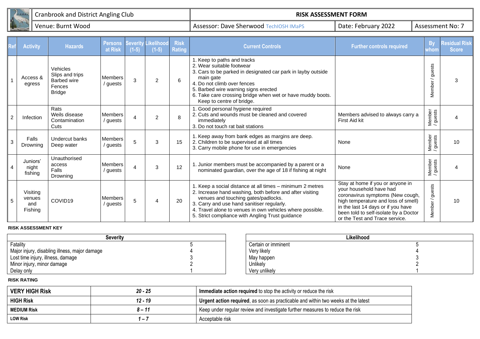| <b>SCE</b><br>$\rightarrow$ | Club<br>Angling (<br>$-$ <b><math>-</math></b><br>. District<br>and | RISI                                 | <b>1ENT FORM</b><br>5MEN.  |                   |
|-----------------------------|---------------------------------------------------------------------|--------------------------------------|----------------------------|-------------------|
| No. 1990                    | Burnt Wood<br>enue:                                                 | Sherwood<br>Dave.<br>TiviaP<br>essu. | 2022<br>Date: Febi<br>i ud | essment No:<br>`o |

| <b>Ref</b>     | <b>Activity</b>                      | <b>Hazards</b>                                                        | <b>Persons</b><br>at Risk  | <b>Severity</b><br>$(1-5)$ | <b>Likelihood</b><br>$(1-5)$ | <b>Risk</b><br><b>Rating</b> | <b>Current Controls</b>                                                                                                                                                                                                                                                                                                     | <b>Further controls required</b>                                                                                                                                                                                                                        | <b>By</b><br>whom  | <b>Residual Risk</b><br><b>Score</b> |
|----------------|--------------------------------------|-----------------------------------------------------------------------|----------------------------|----------------------------|------------------------------|------------------------------|-----------------------------------------------------------------------------------------------------------------------------------------------------------------------------------------------------------------------------------------------------------------------------------------------------------------------------|---------------------------------------------------------------------------------------------------------------------------------------------------------------------------------------------------------------------------------------------------------|--------------------|--------------------------------------|
|                | Access &<br>egress                   | Vehicles<br>Slips and trips<br>Barbed wire<br>Fences<br><b>Bridge</b> | <b>Members</b><br>/ guests | 3                          | $\overline{2}$               | 6                            | 1. Keep to paths and tracks<br>2. Wear suitable footwear<br>3. Cars to be parked in designated car park in layby outside<br>main gate<br>4. Do not climb over fences<br>5. Barbed wire warning signs erected<br>6. Take care crossing bridge when wet or have muddy boots.<br>Keep to centre of bridge.                     |                                                                                                                                                                                                                                                         | guests<br>Member / | 3                                    |
| $\overline{2}$ | Infection                            | Rats<br>Weils disease<br>Contamination<br>Cuts                        | <b>Members</b><br>/ guests | $\boldsymbol{\Lambda}$     | $\overline{2}$               | 8                            | I. Good personal hygiene required<br>2. Cuts and wounds must be cleaned and covered<br>immediately<br>3. Do not touch rat bait stations                                                                                                                                                                                     | Members advised to always carry a<br>First Aid kit                                                                                                                                                                                                      | Member<br>/ guests |                                      |
| $\mathbf{3}$   | Falls<br>Drowning                    | Undercut banks<br>Deep water                                          | Members<br>/ guests        | 5                          | 3                            | 15                           | 1. Keep away from bank edges as margins are deep.<br>2. Children to be supervised at all times<br>3. Carry mobile phone for use in emergencies                                                                                                                                                                              | None                                                                                                                                                                                                                                                    | Member<br>/ guests | 10                                   |
| $\overline{4}$ | Juniors'<br>night<br>fishing         | Unauthorised<br>access<br>Falls<br>Drowning                           | Members<br>/ guests        | $\overline{4}$             | 3                            | 12                           | . Junior members must be accompanied by a parent or a<br>nominated guardian, over the age of 18 if fishing at night                                                                                                                                                                                                         | None                                                                                                                                                                                                                                                    | Member<br>/ guests |                                      |
| 5              | Visiting<br>venues<br>and<br>Fishing | COVID <sub>19</sub>                                                   | Members<br>/ guests        | 5                          | 4                            | 20                           | 1. Keep a social distance at all times - minimum 2 metres<br>2. Increase hand washing, both before and after visiting<br>venues and touching gates/padlocks.<br>3. Carry and use hand sanitiser regularly.<br>4. Travel alone to venues in own vehicles where possible.<br>5. Strict compliance with Angling Trust guidance | Stay at home if you or anyone in<br>your household have had<br>coronavirus symptoms (New cough,<br>high temperature and loss of smell)<br>in the last 14 days or if you have<br>been told to self-isolate by a Doctor<br>or the Test and Trace service. | guests<br>Member / | 10                                   |

| <b>Severity</b>                               |  |                     | Likelihood |
|-----------------------------------------------|--|---------------------|------------|
| Fatality                                      |  | Certain or imminent |            |
| Major injury, disabling illness, major damage |  | Very likely         |            |
| Lost time injury, illness, damage             |  | May happen          |            |
| Minor injury, minor damage                    |  | Unlikely            |            |
| Delay only                                    |  | Very unlikely       |            |

| Severity | Likelihood          |  |
|----------|---------------------|--|
|          | Certain or imminent |  |
|          | Very likely         |  |
|          | May happen          |  |
|          | Unlikely            |  |
|          | Very unlikely       |  |

#### **RISK RATING**

| <b>VERY HIGH Risk</b> | $20 - 25$ | <b>Immediate action required</b> to stop the activity or reduce the risk          |
|-----------------------|-----------|-----------------------------------------------------------------------------------|
| <b>HIGH Risk</b>      | $12 - 19$ | Urgent action required, as soon as practicable and within two weeks at the latest |
| <b>MEDIUM Risk</b>    | 8 – 11    | Keep under regular review and investigate further measures to reduce the risk     |
| <b>LOW Risk</b>       |           | Acceptable risk                                                                   |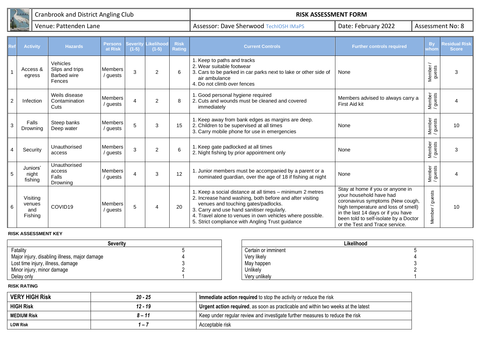|       | Cranbrook and District Angling Club | <b>ASSESSMENT</b><br><b>RISK</b>   | <b>NT FORM</b>            |                          |
|-------|-------------------------------------|------------------------------------|---------------------------|--------------------------|
| _____ | : Pattenden i<br>Lane<br>renue. .   | Dave Sherwood<br>sessor:<br>$\sim$ | 2022<br>Date:<br>-ebruarv | .ುsment No: <sup>y</sup> |

| Re             | <b>Activity</b>                      | <b>Hazards</b>                                              | Persons<br>at Risk         | Severity<br>$(1-5)$ | Likelihood<br>$(1-5)$ | <b>Risk</b><br><b>Rating</b> | <b>Current Controls</b>                                                                                                                                                                                                                                                                                                     | <b>Further controls required</b>                                                                                                                                                                                                                        | <b>By</b><br>whom  | <b>Residual Risk</b><br><b>Score</b> |
|----------------|--------------------------------------|-------------------------------------------------------------|----------------------------|---------------------|-----------------------|------------------------------|-----------------------------------------------------------------------------------------------------------------------------------------------------------------------------------------------------------------------------------------------------------------------------------------------------------------------------|---------------------------------------------------------------------------------------------------------------------------------------------------------------------------------------------------------------------------------------------------------|--------------------|--------------------------------------|
|                | Access &<br>egress                   | Vehicles<br>Slips and trips<br><b>Barbed wire</b><br>Fences | <b>Members</b><br>/ guests | 3                   | $\overline{2}$        | 6                            | 1. Keep to paths and tracks<br>2. Wear suitable footwear<br>3. Cars to be parked in car parks next to lake or other side of<br>air ambulance<br>4. Do not climb over fences                                                                                                                                                 | None                                                                                                                                                                                                                                                    | Member /<br>guests | 3                                    |
| $\overline{2}$ | Infection                            | Weils disease<br>Contamination<br>Cuts                      | Members<br>/ guests        | 4                   | $\overline{2}$        | 8                            | 1. Good personal hygiene required<br>2. Cuts and wounds must be cleaned and covered<br>immediately                                                                                                                                                                                                                          | Members advised to always carry a<br>First Aid kit                                                                                                                                                                                                      | Member<br>/ guests |                                      |
| $\mathbf{3}$   | Falls<br>Drowning                    | Steep banks<br>Deep water                                   | Members<br>/ guests        | 5                   | 3                     | 15                           | 1. Keep away from bank edges as margins are deep.<br>2. Children to be supervised at all times<br>3. Carry mobile phone for use in emergencies                                                                                                                                                                              | None                                                                                                                                                                                                                                                    | Member<br>/ guests | 10                                   |
| $\overline{4}$ | Security                             | Unauthorised<br>access                                      | Members<br>/ guests        | 3                   | $\overline{2}$        | 6                            | 1. Keep gate padlocked at all times<br>2. Night fishing by prior appointment only                                                                                                                                                                                                                                           | None                                                                                                                                                                                                                                                    | Member<br>/ guests | 3                                    |
| 5              | Juniors'<br>night<br>fishing         | Unauthorised<br>access<br>Falls<br>Drowning                 | Members<br>/ guests        | 4                   | 3                     | 12                           | 1. Junior members must be accompanied by a parent or a<br>nominated guardian, over the age of 18 if fishing at night                                                                                                                                                                                                        | None                                                                                                                                                                                                                                                    | Member<br>/ guests |                                      |
| 6              | Visiting<br>venues<br>and<br>Fishing | COVID19                                                     | Members<br>/ guests        | 5                   | 4                     | 20                           | 1. Keep a social distance at all times - minimum 2 metres<br>2. Increase hand washing, both before and after visiting<br>venues and touching gates/padlocks.<br>3. Carry and use hand sanitiser regularly.<br>4. Travel alone to venues in own vehicles where possible.<br>5. Strict compliance with Angling Trust guidance | Stay at home if you or anyone in<br>your household have had<br>coronavirus symptoms (New cough,<br>high temperature and loss of smell)<br>in the last 14 days or if you have<br>been told to self-isolate by a Doctor<br>or the Test and Trace service. | Member / guests    | 10                                   |

| <b>Severity</b>                               |  |                     | Likelihood |
|-----------------------------------------------|--|---------------------|------------|
| Fatality                                      |  | Certain or imminent |            |
| Major injury, disabling illness, major damage |  | Very likely         |            |
| Lost time injury, illness, damage             |  | May happen          |            |
| Minor injury, minor damage                    |  | Unlikely            |            |
| Delay only                                    |  | Very unlikely       |            |

| <b>VERY HIGH Risk</b>    | $20 - 25$  | <b>Immediate action required</b> to stop the activity or reduce the risk          |  |
|--------------------------|------------|-----------------------------------------------------------------------------------|--|
| ∣ HIGH Risk<br>$12 - 19$ |            | Urgent action required, as soon as practicable and within two weeks at the latest |  |
| <b>MEDIUM Risk</b>       | 8 – 11     | Keep under regular review and investigate further measures to reduce the risk     |  |
| <b>LOW Risk</b>          | $\epsilon$ | Acceptable risk                                                                   |  |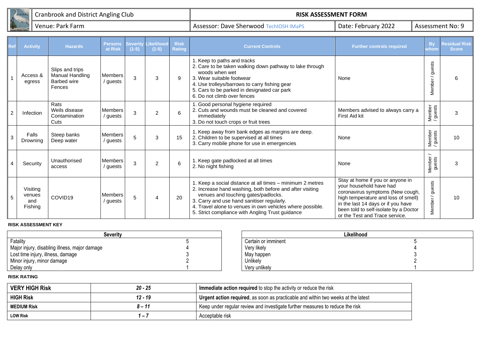|    | rook and District Angling Club | <b>RISK</b><br>433F  | <b>ESSMENT FORM</b>       |                   |
|----|--------------------------------|----------------------|---------------------------|-------------------|
| 15 | Farm<br>Park<br>∙une.          | : Sherwood<br>Dave i | 2022<br>Date:<br>February | t No: 9<br>ssment |

| <br>Re         | <b>Activity</b>                      | <b>Hazards</b>                                              | <b>Persons</b><br>at Risk             | $(1-5)$ | <b>Severity Likelihood</b><br>$(1-5)$ | <b>Risk</b><br><b>Rating</b> | <b>Current Controls</b>                                                                                                                                                                                                                                                                                                     | <b>Further controls required</b>                                                                                                                                                                                                                        | <b>By</b><br>whom  | <b>Residual Risk</b><br><b>Score</b> |
|----------------|--------------------------------------|-------------------------------------------------------------|---------------------------------------|---------|---------------------------------------|------------------------------|-----------------------------------------------------------------------------------------------------------------------------------------------------------------------------------------------------------------------------------------------------------------------------------------------------------------------------|---------------------------------------------------------------------------------------------------------------------------------------------------------------------------------------------------------------------------------------------------------|--------------------|--------------------------------------|
|                | Access &<br>egress                   | Slips and trips<br>Manual Handling<br>Barbed wire<br>Fences | Members<br><sup>'</sup> guests        | 3       | 3                                     | 9                            | 1. Keep to paths and tracks<br>2. Care to be taken walking down pathway to lake through<br>woods when wet<br>3. Wear suitable footwear<br>4. Use trolleys/barrows to carry fishing gear<br>5. Cars to be parked in designated car park<br>6. Do not climb over fences                                                       | None                                                                                                                                                                                                                                                    | guests<br>Member/  | 6                                    |
| $\overline{c}$ | Infection                            | Rats<br>Weils disease<br>Contamination<br>Cuts              | <b>Members</b><br><sup>'</sup> guests | 3       | $\overline{2}$                        | 6                            | 1. Good personal hygiene required<br>2. Cuts and wounds must be cleaned and covered<br>immediately<br>3. Do not touch crops or fruit trees                                                                                                                                                                                  | Members advised to always carry a<br>First Aid kit                                                                                                                                                                                                      | Member<br>/ guests | 3                                    |
| $\mathbf{3}$   | Falls<br>Drowning                    | Steep banks<br>Deep water                                   | <b>Members</b><br><sup>'</sup> guests | 5       | 3                                     | 15                           | 1. Keep away from bank edges as margins are deep.<br>2. Children to be supervised at all times<br>3. Carry mobile phone for use in emergencies                                                                                                                                                                              | None                                                                                                                                                                                                                                                    | Member<br>/ guests | 10                                   |
|                | Security                             | Unauthorised<br>access                                      | Members<br>guests                     | 3       | $\overline{2}$                        | 6                            | 1. Keep gate padlocked at all times<br>2. No night fishing                                                                                                                                                                                                                                                                  | None                                                                                                                                                                                                                                                    | Member /<br>guests | 3                                    |
| -5             | Visiting<br>venues<br>and<br>Fishing | COVID19                                                     | <b>Members</b><br>guests              | 5       | Δ                                     | 20                           | 1. Keep a social distance at all times - minimum 2 metres<br>2. Increase hand washing, both before and after visiting<br>venues and touching gates/padlocks.<br>3. Carry and use hand sanitiser regularly.<br>4. Travel alone to venues in own vehicles where possible.<br>5. Strict compliance with Angling Trust guidance | Stay at home if you or anyone in<br>your household have had<br>coronavirus symptoms (New cough,<br>high temperature and loss of smell)<br>in the last 14 days or if you have<br>been told to self-isolate by a Doctor<br>or the Test and Trace service. | guests<br>Member/  | 10                                   |

| <b>Severity</b>                               |  |                     | Likelihood |
|-----------------------------------------------|--|---------------------|------------|
| Fatality                                      |  | Certain or imminent |            |
| Major injury, disabling illness, major damage |  | Verv likelv         |            |
| Lost time injury, illness, damage             |  | May happen          |            |
| Minor injury, minor damage                    |  | Unlikelv            |            |
| Delay only                                    |  | Very unlikely       |            |

| <b>Severity</b> |                     | Likelihood |
|-----------------|---------------------|------------|
|                 | Certain or imminent |            |
|                 | Very likely         |            |
|                 | May happen          |            |
|                 | Unlikely            |            |
|                 | Very unlikely       |            |

| <b>VERY HIGH Risk</b> | $20 - 25$                | Immediate action required to stop the activity or reduce the risk                 |
|-----------------------|--------------------------|-----------------------------------------------------------------------------------|
| <b>HIGH Risk</b>      | $12 - 19$                | Urgent action required, as soon as practicable and within two weeks at the latest |
| <b>MEDIUM Risk</b>    | $8 - 11$                 | Keep under regular review and investigate further measures to reduce the risk     |
| <b>LOW Risk</b>       | $\overline{\phantom{0}}$ | Acceptable risk                                                                   |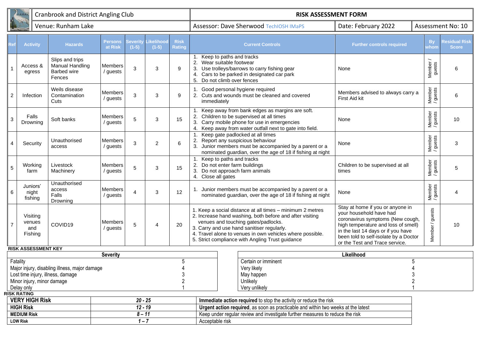|                                                                                                | C.A.D.A.                                                                                                |  | <b>Cranbrook and District Angling Club</b>                         |                            |                     |                                                                               |                              |                                                                                   |                                                                                                                                                                                                                                                                                                                             | <b>RISK ASSESSMENT FORM</b>                                                                                                                                                                       |                                                                                                                                                                                                                                                         |                    |                                      |
|------------------------------------------------------------------------------------------------|---------------------------------------------------------------------------------------------------------|--|--------------------------------------------------------------------|----------------------------|---------------------|-------------------------------------------------------------------------------|------------------------------|-----------------------------------------------------------------------------------|-----------------------------------------------------------------------------------------------------------------------------------------------------------------------------------------------------------------------------------------------------------------------------------------------------------------------------|---------------------------------------------------------------------------------------------------------------------------------------------------------------------------------------------------|---------------------------------------------------------------------------------------------------------------------------------------------------------------------------------------------------------------------------------------------------------|--------------------|--------------------------------------|
|                                                                                                |                                                                                                         |  | Venue: Runham Lake                                                 |                            |                     |                                                                               |                              |                                                                                   | <b>Assessor: Dave Sherwood TechIOSH IMaPS</b>                                                                                                                                                                                                                                                                               |                                                                                                                                                                                                   | Date: February 2022                                                                                                                                                                                                                                     |                    | Assessment No: 10                    |
|                                                                                                | <b>Activity</b>                                                                                         |  | <b>Hazards</b>                                                     | <b>Persons</b><br>at Risk  | Severity<br>$(1-5)$ | <b>ikelihood</b><br>$(1-5)$                                                   | <b>Risk</b><br><b>Rating</b> |                                                                                   |                                                                                                                                                                                                                                                                                                                             | <b>Current Controls</b>                                                                                                                                                                           | <b>Further controls required</b>                                                                                                                                                                                                                        | <b>By</b><br>whom  | <b>Residual Risk</b><br><b>Score</b> |
|                                                                                                | Access &<br>egress                                                                                      |  | Slips and trips<br>Manual Handling<br><b>Barbed</b> wire<br>Fences | Members<br>/ guests        | 3                   | 3                                                                             | 9                            | 2.<br>3.<br>4.<br>5.                                                              | 1. Keep to paths and tracks<br>Wear suitable footwear<br>Do not climb over fences                                                                                                                                                                                                                                           | Use trolleys/barrows to carry fishing gear<br>Cars to be parked in designated car park                                                                                                            | None                                                                                                                                                                                                                                                    | Member /<br>guests | 6                                    |
| $\overline{c}$                                                                                 | Infection                                                                                               |  | Weils disease<br>Contamination<br>Cuts                             | Members<br>/ guests        | 3                   | 3                                                                             | 9                            | immediately                                                                       | Good personal hygiene required                                                                                                                                                                                                                                                                                              | 2. Cuts and wounds must be cleaned and covered                                                                                                                                                    | Members advised to always carry a<br>First Aid kit                                                                                                                                                                                                      | Member<br>/ guests | 6                                    |
| $\mathbf{3}$                                                                                   | Falls<br>Drowning                                                                                       |  | Soft banks                                                         | Members<br>/ guests        | 5                   | 3                                                                             | 15                           | 2.<br>3.                                                                          |                                                                                                                                                                                                                                                                                                                             | Keep away from bank edges as margins are soft.<br>Children to be supervised at all times<br>Carry mobile phone for use in emergencies<br>4. Keep away from water outfall next to gate into field. | None                                                                                                                                                                                                                                                    | Member<br>/ guests | 10                                   |
| $\overline{4}$                                                                                 | Security                                                                                                |  | Unauthorised<br>access                                             | <b>Members</b><br>/ guests | 3                   | $\overline{2}$                                                                | 6                            | 1.<br>2.                                                                          | Keep gate padlocked at all times<br>Report any suspicious behaviour                                                                                                                                                                                                                                                         | Junior members must be accompanied by a parent or a<br>nominated guardian, over the age of 18 if fishing at night                                                                                 | None                                                                                                                                                                                                                                                    | Member<br>/ guests | 3                                    |
| 5                                                                                              | Working<br>farm                                                                                         |  | Livestock<br>Machinery                                             | Members<br>/ guests        | 5                   | 3                                                                             | 15                           | 1.<br>2.<br>3.                                                                    | Keep to paths and tracks<br>Do not enter farm buildings<br>Do not approach farm animals<br>4. Close all gates                                                                                                                                                                                                               |                                                                                                                                                                                                   | Children to be supervised at all<br>times                                                                                                                                                                                                               | Member<br>/ guests | 5                                    |
| 6                                                                                              | Juniors'<br>night<br>fishing                                                                            |  | Unauthorised<br>access<br>Falls<br>Drowning                        | Members<br>/ guests        | $\overline{4}$      | $\mathbf{3}$                                                                  | 12                           |                                                                                   |                                                                                                                                                                                                                                                                                                                             | 1. Junior members must be accompanied by a parent or a<br>nominated guardian, over the age of 18 if fishing at night                                                                              | None                                                                                                                                                                                                                                                    | Member<br>/ guests | 4                                    |
| $\overline{7}$                                                                                 | Visiting<br>venues<br>and<br>Fishing                                                                    |  | COVID19                                                            | Members<br>/ guests        | 5                   | $\overline{4}$                                                                | 20                           |                                                                                   | 1. Keep a social distance at all times - minimum 2 metres<br>2. Increase hand washing, both before and after visiting<br>venues and touching gates/padlocks.<br>3. Carry and use hand sanitiser regularly.<br>4. Travel alone to venues in own vehicles where possible.<br>5. Strict compliance with Angling Trust guidance |                                                                                                                                                                                                   | Stay at home if you or anyone in<br>your household have had<br>coronavirus symptoms (New cough,<br>high temperature and loss of smell)<br>in the last 14 days or if you have<br>been told to self-isolate by a Doctor<br>or the Test and Trace service. | Member/guests      | 10                                   |
|                                                                                                | <b>RISK ASSESSMENT KEY</b>                                                                              |  |                                                                    | <b>Severity</b>            |                     |                                                                               |                              |                                                                                   |                                                                                                                                                                                                                                                                                                                             |                                                                                                                                                                                                   | Likelihood                                                                                                                                                                                                                                              |                    |                                      |
|                                                                                                | Fatality                                                                                                |  |                                                                    |                            |                     |                                                                               | 5                            |                                                                                   |                                                                                                                                                                                                                                                                                                                             | Certain or imminent                                                                                                                                                                               | 5                                                                                                                                                                                                                                                       |                    |                                      |
| Major injury, disabling illness, major damage                                                  |                                                                                                         |  |                                                                    |                            |                     |                                                                               |                              |                                                                                   |                                                                                                                                                                                                                                                                                                                             | Very likely                                                                                                                                                                                       |                                                                                                                                                                                                                                                         |                    |                                      |
| Lost time injury, illness, damage<br>May happen<br>Minor injury, minor damage<br>2<br>Unlikely |                                                                                                         |  |                                                                    |                            |                     |                                                                               |                              |                                                                                   |                                                                                                                                                                                                                                                                                                                             |                                                                                                                                                                                                   |                                                                                                                                                                                                                                                         |                    |                                      |
|                                                                                                | Delay only                                                                                              |  |                                                                    |                            |                     |                                                                               |                              |                                                                                   |                                                                                                                                                                                                                                                                                                                             | Very unlikely                                                                                                                                                                                     |                                                                                                                                                                                                                                                         |                    |                                      |
|                                                                                                | <b>RISK RATING</b>                                                                                      |  |                                                                    |                            |                     |                                                                               |                              |                                                                                   |                                                                                                                                                                                                                                                                                                                             |                                                                                                                                                                                                   |                                                                                                                                                                                                                                                         |                    |                                      |
|                                                                                                | <b>VERY HIGH Risk</b><br>$20 - 25$<br>Immediate action required to stop the activity or reduce the risk |  |                                                                    |                            |                     |                                                                               |                              |                                                                                   |                                                                                                                                                                                                                                                                                                                             |                                                                                                                                                                                                   |                                                                                                                                                                                                                                                         |                    |                                      |
|                                                                                                | <b>HIGH Risk</b>                                                                                        |  |                                                                    |                            | $12 - 19$           |                                                                               |                              | Urgent action required, as soon as practicable and within two weeks at the latest |                                                                                                                                                                                                                                                                                                                             |                                                                                                                                                                                                   |                                                                                                                                                                                                                                                         |                    |                                      |
| <b>MEDIUM Risk</b><br>$8 - 11$                                                                 |                                                                                                         |  |                                                                    |                            |                     | Keep under regular review and investigate further measures to reduce the risk |                              |                                                                                   |                                                                                                                                                                                                                                                                                                                             |                                                                                                                                                                                                   |                                                                                                                                                                                                                                                         |                    |                                      |

**LOW Risk** *1 – 7* Acceptable risk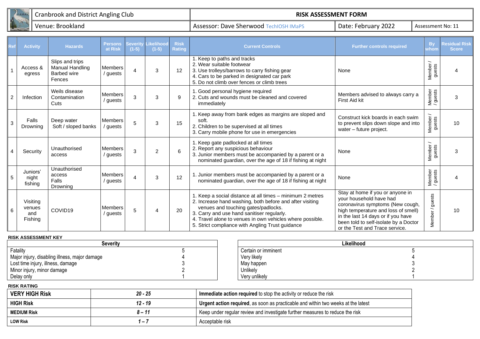|                 | Angling Club<br>rook and District $\epsilon$<br>ranh | <b>ESSMENT FORM</b><br>RISK<br>лээг |                           |                           |  |  |  |
|-----------------|------------------------------------------------------|-------------------------------------|---------------------------|---------------------------|--|--|--|
| <b>CARDINAL</b> | Brookland<br>nue                                     | Sherwood י<br>Jave<br>∍ ∼ כ         | 2022<br>Date:<br>-ebruarv | ີ essment No: ⊥<br>Assess |  |  |  |

|                | <b>Activity</b>                      | <b>Hazards</b>                                                            | <b>Persons</b><br>at Risk  | <b>Severity</b><br>$(1-5)$ | Likelihood<br>$(1-5)$ | <b>Risk</b><br><b>Rating</b> | <b>Current Controls</b>                                                                                                                                                                                                                                                                                                     | <b>Further controls required</b>                                                                                                                                                                                                                        | <b>By</b><br>whom  | <b>Residual Risk</b><br><b>Score</b> |
|----------------|--------------------------------------|---------------------------------------------------------------------------|----------------------------|----------------------------|-----------------------|------------------------------|-----------------------------------------------------------------------------------------------------------------------------------------------------------------------------------------------------------------------------------------------------------------------------------------------------------------------------|---------------------------------------------------------------------------------------------------------------------------------------------------------------------------------------------------------------------------------------------------------|--------------------|--------------------------------------|
|                | Access &<br>egress                   | Slips and trips<br><b>Manual Handling</b><br><b>Barbed wire</b><br>Fences | Members<br>/ guests        | 4                          | 3                     | 12                           | 1. Keep to paths and tracks<br>2. Wear suitable footwear<br>3. Use trolleys/barrows to carry fishing gear<br>4. Cars to be parked in designated car park<br>5. Do not climb over fences or climb trees                                                                                                                      | None                                                                                                                                                                                                                                                    | Member /<br>guests |                                      |
| $\overline{2}$ | Infection                            | Weils disease<br>Contamination<br>Cuts                                    | Members<br>/ guests        | 3                          | 3                     | 9                            | 1. Good personal hygiene required<br>2. Cuts and wounds must be cleaned and covered<br>immediately                                                                                                                                                                                                                          | Members advised to always carry a<br>First Aid kit                                                                                                                                                                                                      | Member<br>/ guests | 3                                    |
| 3              | Falls<br>Drowning                    | Deep water<br>Soft / sloped banks                                         | <b>Members</b><br>/ guests | 5                          | 3                     | 15                           | 1. Keep away from bank edges as margins are sloped and<br>soft.<br>2. Children to be supervised at all times<br>3. Carry mobile phone for use in emergencies                                                                                                                                                                | Construct kick boards in each swim<br>to prevent slips down slope and into<br>water - future project.                                                                                                                                                   | Member /<br>guests | 10                                   |
| 4              | Security                             | Unauthorised<br>access                                                    | <b>Members</b><br>/ guests | 3                          | $\overline{2}$        | 6                            | 1. Keep gate padlocked at all times<br>2. Report any suspicious behaviour<br>3. Junior members must be accompanied by a parent or a<br>nominated guardian, over the age of 18 if fishing at night                                                                                                                           | None                                                                                                                                                                                                                                                    | Member /<br>guests | 3                                    |
| 5              | Juniors'<br>night<br>fishing         | Unauthorised<br>access<br>Falls<br>Drowning                               | <b>Members</b><br>/ guests | $\overline{4}$             | 3                     | 12                           | . Junior members must be accompanied by a parent or a<br>nominated guardian, over the age of 18 if fishing at night                                                                                                                                                                                                         | None                                                                                                                                                                                                                                                    | Member<br>/ guests |                                      |
| 6              | Visiting<br>venues<br>and<br>Fishing | COVID19                                                                   | <b>Members</b><br>/ guests | 5                          | 4                     | 20                           | 1. Keep a social distance at all times - minimum 2 metres<br>2. Increase hand washing, both before and after visiting<br>venues and touching gates/padlocks.<br>3. Carry and use hand sanitiser regularly.<br>4. Travel alone to venues in own vehicles where possible.<br>5. Strict compliance with Angling Trust guidance | Stay at home if you or anyone in<br>your household have had<br>coronavirus symptoms (New cough,<br>high temperature and loss of smell)<br>in the last 14 days or if you have<br>been told to self-isolate by a Doctor<br>or the Test and Trace service. | guests<br>Member / | 10                                   |

| Severitv                                      |  | Likelihood          |  |  |
|-----------------------------------------------|--|---------------------|--|--|
| Fatality                                      |  | Certain or imminent |  |  |
| Major injury, disabling illness, major damage |  | Very likely         |  |  |
| Lost time injury, illness, damage             |  | May happen          |  |  |
| Minor injury, minor damage                    |  | Unlikelv            |  |  |
| Delay only                                    |  | Very unlikely       |  |  |

| <b>VERY HIGH Risk</b> | $20 - 25$  | <b>Immediate action required</b> to stop the activity or reduce the risk          |
|-----------------------|------------|-----------------------------------------------------------------------------------|
| <b>HIGH Risk</b>      | $12 - 19$  | Urgent action required, as soon as practicable and within two weeks at the latest |
| <b>MEDIUM Risk</b>    | 8 – 11     | Keep under regular review and investigate further measures to reduce the risk     |
| <b>LOW Risk</b>       | $\epsilon$ | Acceptable risk                                                                   |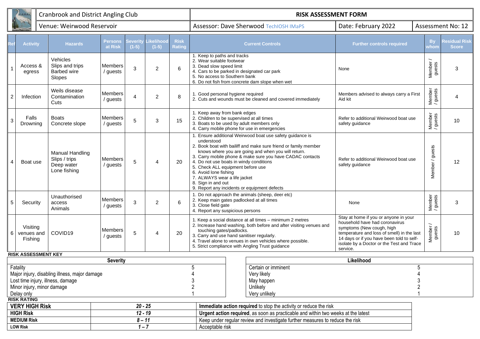| <b>Cranbrook and District Angling Club</b><br>C.A.D.A.                                                                                                           |                                       |                                                                |                                                                               |                    |                                                                      |                       | <b>RISK ASSESSMENT FORM</b>                                                                                                                                                                                                                                                                                                 |                                                                                                                                                                        |                                                                                                                                                                                                                                                  |                                                                                                                                                                                                                                                          |                    |                                      |
|------------------------------------------------------------------------------------------------------------------------------------------------------------------|---------------------------------------|----------------------------------------------------------------|-------------------------------------------------------------------------------|--------------------|----------------------------------------------------------------------|-----------------------|-----------------------------------------------------------------------------------------------------------------------------------------------------------------------------------------------------------------------------------------------------------------------------------------------------------------------------|------------------------------------------------------------------------------------------------------------------------------------------------------------------------|--------------------------------------------------------------------------------------------------------------------------------------------------------------------------------------------------------------------------------------------------|----------------------------------------------------------------------------------------------------------------------------------------------------------------------------------------------------------------------------------------------------------|--------------------|--------------------------------------|
| Venue: Weirwood Reservoir                                                                                                                                        |                                       |                                                                |                                                                               |                    | <b>Assessor: Dave Sherwood TechIOSH IMaPS</b><br>Date: February 2022 |                       |                                                                                                                                                                                                                                                                                                                             | Assessment No: 12                                                                                                                                                      |                                                                                                                                                                                                                                                  |                                                                                                                                                                                                                                                          |                    |                                      |
|                                                                                                                                                                  | <b>Activity</b>                       | <b>Hazards</b>                                                 | Persons<br>at Risk                                                            | Severit<br>$(1-5)$ | <b>ikelihoo</b><br>$(1-5)$                                           | <b>Risk</b><br>Rating |                                                                                                                                                                                                                                                                                                                             |                                                                                                                                                                        | <b>Current Controls</b>                                                                                                                                                                                                                          | <b>Further controls required</b>                                                                                                                                                                                                                         | <b>By</b><br>vhom  | <b>Residual Risk</b><br><b>Score</b> |
| $\mathbf{1}$                                                                                                                                                     | Access &<br>egress                    | Vehicles<br>Slips and trips<br><b>Barbed wire</b><br>Slopes    | <b>Members</b><br>/ guests                                                    | 3                  | $\overline{2}$                                                       | 6                     | 1. Keep to paths and tracks<br>2. Wear suitable footwear<br>3. Dead slow speed limit<br>4. Cars to be parked in designated car park<br>5. No access to Southern bank                                                                                                                                                        |                                                                                                                                                                        | 6. Do not fish from concrete dam slope when wet                                                                                                                                                                                                  | None                                                                                                                                                                                                                                                     | Member /<br>guests | 3                                    |
| $\overline{\mathbf{c}}$                                                                                                                                          | Infection                             | Weils disease<br>Contamination<br>Cuts                         | Members<br>/ guests                                                           | $\overline{4}$     | 2                                                                    | 8                     | 1. Good personal hygiene required                                                                                                                                                                                                                                                                                           |                                                                                                                                                                        | 2. Cuts and wounds must be cleaned and covered immediately                                                                                                                                                                                       | Members advised to always carry a First<br>Aid kit                                                                                                                                                                                                       | Member<br>/ guests | 4                                    |
| 3                                                                                                                                                                | Falls<br>Drowning                     | <b>Boats</b><br>Concrete slope                                 | Members<br>/ guests                                                           | 5                  | 3                                                                    | 15                    |                                                                                                                                                                                                                                                                                                                             | 1. Keep away from bank edges<br>2. Children to be supervised at all times<br>3. Boats to be used by adult members only<br>4. Carry mobile phone for use in emergencies |                                                                                                                                                                                                                                                  | Refer to additional Weirwood boat use<br>safety guidance                                                                                                                                                                                                 | Member<br>/ guests | 10                                   |
| $\overline{\mathbf{4}}$                                                                                                                                          | Boat use                              | Manual Handling<br>Slips / trips<br>Deep water<br>Lone fishing | Members<br>/ guests                                                           | 5                  | 4                                                                    | 20                    | understood<br>4. Do not use boats in windy conditions<br>5. Check ALL equipment before use<br>6. Avoid lone fishing<br>7. ALWAYS wear a life jacket<br>8. Sign in and out<br>9. Report any incidents or equipment defects                                                                                                   |                                                                                                                                                                        | 1. Ensure additional Weirwood boat use safety guidance is<br>2. Book boat with bailiff and make sure friend or family member<br>knows where you are going and when you will return.<br>3. Carry mobile phone & make sure you have CADAC contacts | Refer to additional Weirwood boat use<br>safety guidance                                                                                                                                                                                                 | Member / guests    | 12                                   |
| 5                                                                                                                                                                | Security                              | Unauthorised<br>access<br>Animals                              | Members<br>/ guests                                                           | 3                  | 2                                                                    | 6                     | 1. Do not approach the animals (sheep, deer etc)<br>2. Keep main gates padlocked at all times<br>3. Close field gate<br>4. Report any suspicious persons                                                                                                                                                                    |                                                                                                                                                                        | None                                                                                                                                                                                                                                             | Member<br>/ guests                                                                                                                                                                                                                                       | 3                  |                                      |
|                                                                                                                                                                  | Visiting<br>$6$ venues and<br>Fishing | COVID19                                                        | Members<br>/ guests                                                           | 5                  | 4                                                                    | 20                    | 1. Keep a social distance at all times - minimum 2 metres<br>2. Increase hand washing, both before and after visiting venues and<br>touching gates/padlocks.<br>3. Carry and use hand sanitiser regularly.<br>4. Travel alone to venues in own vehicles where possible.<br>5. Strict compliance with Angling Trust guidance |                                                                                                                                                                        |                                                                                                                                                                                                                                                  | Stay at home if you or anyone in your<br>household have had coronavirus<br>symptoms (New cough, high<br>temperature and loss of smell) in the last<br>14 days or if you have been told to self-<br>isolate by a Doctor or the Test and Trace<br>service. | Member /<br>guests | 10                                   |
|                                                                                                                                                                  |                                       | <b>RISK ASSESSMENT KEY</b>                                     | <b>Severity</b>                                                               |                    |                                                                      |                       |                                                                                                                                                                                                                                                                                                                             |                                                                                                                                                                        |                                                                                                                                                                                                                                                  | Likelihood                                                                                                                                                                                                                                               |                    |                                      |
| Fatality<br>Major injury, disabling illness, major damage<br>Lost time injury, illness, damage<br>Minor injury, minor damage<br>Delay only<br><b>RISK RATING</b> |                                       |                                                                |                                                                               |                    |                                                                      |                       |                                                                                                                                                                                                                                                                                                                             | Certain or imminent<br>Very likely<br>May happen<br>Unlikely<br>Very unlikely                                                                                          |                                                                                                                                                                                                                                                  |                                                                                                                                                                                                                                                          |                    |                                      |
|                                                                                                                                                                  | <b>VERY HIGH Risk</b>                 |                                                                |                                                                               | $20 - 25$          |                                                                      |                       | Immediate action required to stop the activity or reduce the risk                                                                                                                                                                                                                                                           |                                                                                                                                                                        |                                                                                                                                                                                                                                                  |                                                                                                                                                                                                                                                          |                    |                                      |
|                                                                                                                                                                  | <b>HIGH Risk</b>                      |                                                                |                                                                               | $12 - 19$          |                                                                      |                       |                                                                                                                                                                                                                                                                                                                             |                                                                                                                                                                        | Urgent action required, as soon as practicable and within two weeks at the latest                                                                                                                                                                |                                                                                                                                                                                                                                                          |                    |                                      |
| <b>MEDIUM Risk</b><br>$8 - 11$                                                                                                                                   |                                       |                                                                | Keep under regular review and investigate further measures to reduce the risk |                    |                                                                      |                       |                                                                                                                                                                                                                                                                                                                             |                                                                                                                                                                        |                                                                                                                                                                                                                                                  |                                                                                                                                                                                                                                                          |                    |                                      |

**LOW Risk** *1 – 7* Acceptable risk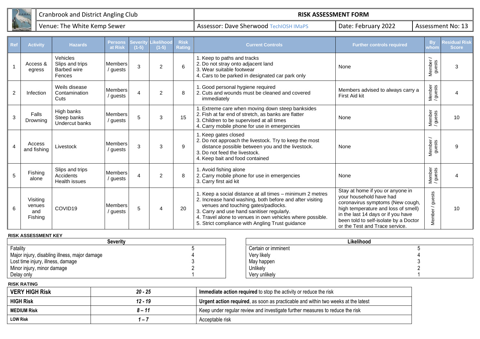

| <b>Cranbrook and District Angling Club</b> | <b>RISK ASSESSMENT FORM</b>              |                     |                   |  |  |  |  |
|--------------------------------------------|------------------------------------------|---------------------|-------------------|--|--|--|--|
| Venue: The White Kemp Sewer                | " Assessor: Dave Sherwood TechIOSH IMaPS | Date: February 2022 | Assessment No: 13 |  |  |  |  |

| Ref            | <b>Activity</b>                      | <b>Hazards</b>                                              | Persons,<br>at Risk        | <b>Severity</b><br>$(1-5)$ | Likelihood<br>$(1-5)$ | <b>Risk</b><br><b>Rating</b> | <b>Current Controls</b>                                                                                                                                                                                                                                                                                                     | <b>Further controls required</b>                                                                                                                                                                                                                        | <b>By</b><br>vhom  | <b>Residual Risk</b><br><b>Score</b> |
|----------------|--------------------------------------|-------------------------------------------------------------|----------------------------|----------------------------|-----------------------|------------------------------|-----------------------------------------------------------------------------------------------------------------------------------------------------------------------------------------------------------------------------------------------------------------------------------------------------------------------------|---------------------------------------------------------------------------------------------------------------------------------------------------------------------------------------------------------------------------------------------------------|--------------------|--------------------------------------|
|                | Access &<br>egress                   | Vehicles<br>Slips and trips<br><b>Barbed wire</b><br>Fences | <b>Members</b><br>/ guests | 3                          | $\overline{2}$        | 6                            | 1. Keep to paths and tracks<br>2. Do not stray onto adjacent land<br>3. Wear suitable footwear<br>4. Cars to be parked in designated car park only                                                                                                                                                                          | None                                                                                                                                                                                                                                                    | Member /<br>guests | 3                                    |
| 2              | Infection                            | Weils disease<br>Contamination<br>Cuts                      | Members<br>/ guests        | 4                          | $\overline{2}$        | 8                            | 1. Good personal hygiene required<br>2. Cuts and wounds must be cleaned and covered<br>immediately                                                                                                                                                                                                                          | Members advised to always carry a<br>First Aid kit                                                                                                                                                                                                      | Member<br>/ guests |                                      |
| 3              | Falls<br>Drowning                    | High banks<br>Steep banks<br>Undercut banks                 | <b>Members</b><br>/ guests | 5                          | 3                     | 15                           | 1. Extreme care when moving down steep banksides<br>2. Fish at far end of stretch, as banks are flatter<br>3. Children to be supervised at all times<br>4. Carry mobile phone for use in emergencies                                                                                                                        | None                                                                                                                                                                                                                                                    | Member<br>/ guests | 10                                   |
| $\overline{4}$ | Access<br>and fishing                | Livestock                                                   | <b>Members</b><br>/ guests | 3                          | 3                     | 9                            | 1. Keep gates closed<br>2. Do not approach the livestock. Try to keep the most<br>distance possible between you and the livestock.<br>3. Do not feed the livestock.<br>4. Keep bait and food contained                                                                                                                      | None                                                                                                                                                                                                                                                    | Member /<br>guests | 9                                    |
| 5              | Fishing<br>alone                     | Slips and trips<br>Accidents<br>Health issues               | <b>Members</b><br>/ guests | 4                          | $\overline{2}$        | 8                            | 1. Avoid fishing alone<br>2. Carry mobile phone for use in emergencies<br>3. Carry first aid kit                                                                                                                                                                                                                            | None                                                                                                                                                                                                                                                    | Member<br>/ guests |                                      |
| 6              | Visiting<br>venues<br>and<br>Fishing | COVID19                                                     | <b>Members</b><br>/ guests | 5                          | 4                     | 20                           | 1. Keep a social distance at all times - minimum 2 metres<br>2. Increase hand washing, both before and after visiting<br>venues and touching gates/padlocks.<br>3. Carry and use hand sanitiser regularly.<br>4. Travel alone to venues in own vehicles where possible.<br>5. Strict compliance with Angling Trust guidance | Stay at home if you or anyone in<br>your household have had<br>coronavirus symptoms (New cough,<br>high temperature and loss of smell)<br>in the last 14 days or if you have<br>been told to self-isolate by a Doctor<br>or the Test and Trace service. | Member / guests    | 10                                   |

| Severity                                      |  | Likelihood          |  |  |
|-----------------------------------------------|--|---------------------|--|--|
| Fatality                                      |  | Certain or imminent |  |  |
| Major injury, disabling illness, major damage |  | Very likely         |  |  |
| Lost time injury, illness, damage             |  | May happen          |  |  |
| Minor injury, minor damage                    |  | Unlikelv            |  |  |
| Delay only                                    |  | Very unlikely       |  |  |

| <b>VERY HIGH Risk</b> | $20 - 25$                | <b>Immediate action required</b> to stop the activity or reduce the risk          |
|-----------------------|--------------------------|-----------------------------------------------------------------------------------|
| HIGH Risk             | $12 - 19$                | Urgent action required, as soon as practicable and within two weeks at the latest |
| l MEDIUM Risk         | 8 – 11                   | Keep under regular review and investigate further measures to reduce the risk     |
| l LOW Risk            | $\overline{\phantom{0}}$ | Acceptable risk                                                                   |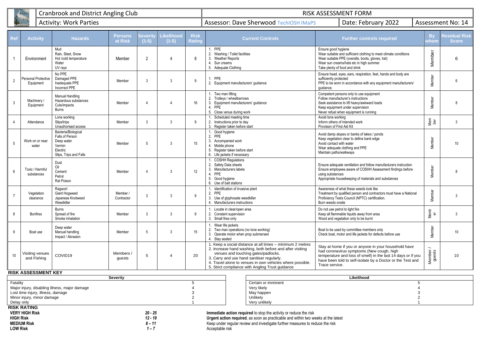|                 |                                  | <b>Cranbrook and District Angling Club</b>                                                           |                           |                    |                       |                       | <b>RISK ASSESSMENT FORM</b>                                                                                                                                                                                                                                                                                                 |                                                                                                                  |                                                                                                                                                                                                                                 |                    |                                      |
|-----------------|----------------------------------|------------------------------------------------------------------------------------------------------|---------------------------|--------------------|-----------------------|-----------------------|-----------------------------------------------------------------------------------------------------------------------------------------------------------------------------------------------------------------------------------------------------------------------------------------------------------------------------|------------------------------------------------------------------------------------------------------------------|---------------------------------------------------------------------------------------------------------------------------------------------------------------------------------------------------------------------------------|--------------------|--------------------------------------|
|                 |                                  | <b>Activity: Work Parties</b>                                                                        |                           |                    |                       |                       |                                                                                                                                                                                                                                                                                                                             | <b>Assessor: Dave Sherwood TechIOSH IMaPS</b><br>Date: February 2022                                             |                                                                                                                                                                                                                                 |                    | Assessment No: 14                    |
| Ref             | <b>Activity</b>                  | <b>Hazards</b>                                                                                       | <b>Persons</b><br>at Risk | ieverit<br>$(1-5)$ | Likelihood<br>$(1-5)$ | <b>Risk</b><br>Rating | <b>Current Controls</b>                                                                                                                                                                                                                                                                                                     |                                                                                                                  | <b>Further controls required</b>                                                                                                                                                                                                | <b>By</b><br>vhom  | <b>Residual Risk</b><br><b>Score</b> |
|                 | Environment                      | Mud<br>Rain, Sleet, Snow<br>Hot /cold temperature<br>Water<br>UV rays                                | Member                    | $\overline{2}$     | $\overline{4}$        | 8                     | 1. PPE<br>2. Washing / Toilet facilities<br>3. Weather Reports<br>4. Sun creams<br>5. Adequate Clothing                                                                                                                                                                                                                     | Ensure good hygiene<br>Take plenty of food and drink                                                             | Wear suitable and sufficient clothing to meet climate conditions<br>Wear suitable PPE (overalls, boots, gloves, hat)<br>Wear sun creams/hats etc in high summer                                                                 | Member             | 6                                    |
| $\overline{2}$  | Personal Protective<br>Equipment | No PPE<br>Damaged PPE<br>Inadequate PPE<br>Incorrect PPE                                             | Member                    | $\mathcal{S}$      | $\overline{3}$        | 9                     | PPE<br>$\mathbf{1}$<br>2. Equipment manufacturers' quidance                                                                                                                                                                                                                                                                 | sufficiently protected<br>quidance.                                                                              | Ensure head, eyes, ears, respiration, feet, hands and body are<br>PPE to be worn in accordance with any equipment manufacturers'                                                                                                | Member             | 6                                    |
| 3               | Machinery /<br>Equipment         | Manual Handling<br>Hazardous substances<br>Cuts/impacts<br><b>Burns</b>                              | Member                    |                    | $\Delta$              | 16                    | 1. Two man lifting<br>2. Trolleys / wheelbarrows<br>Equipment manufacturers' quidance<br>3.<br>PPE<br>4.<br>5. Close venue during work                                                                                                                                                                                      | Follow manufacturer's instructions<br>Keep equipment under supervision<br>Never refuel when equipment is running | Competent persons only to use equipment<br>Seek assistance to lift heavy/awkward loads                                                                                                                                          | Member             | $\boldsymbol{8}$                     |
| $\overline{4}$  | Attendance                       | Lone working<br>Slips/trips<br>Unauthorised access                                                   | Member                    | 3                  | 3                     | 9                     | Scheduled meeting time<br>$\mathbf{1}$ .<br>2. Instructions prior to day<br>3. Register taken before start                                                                                                                                                                                                                  | Avoid lone working<br>Inform others of intended work<br>Provision of First Aid Kit                               |                                                                                                                                                                                                                                 | Mem<br>ber         | $\mathbf{3}$                         |
| 5               | Work on or near<br>water         | Bacteria/Biological<br>Falls of Person<br>Deep water<br>Vermin<br>Electric<br>Slips, Trips and Falls | Member                    | .5                 | 3                     | 15                    | Good hygiene<br>$\mathbf{1}$<br>2. PPE<br>3. Accompanied work<br>Mobile phone<br>4.<br>Register taken before start<br>5.<br>6. Life jackets if necessary                                                                                                                                                                    | Avoid contact with water<br>Wear adequate clothing and PPE<br>Maintain paths/walkways                            | Avoid damp slopes or banks of lakes / ponds<br>Keep vegetation clear to define bank edge                                                                                                                                        | Member             | 10 <sup>°</sup>                      |
| $6\overline{6}$ | Toxic / Harmful<br>substances    | Dust<br>Oil<br>Cement<br>Petrol<br>Rat Poison                                                        | Member                    |                    | 3                     | 12                    | <b>COSHH Regulations</b><br>2. Safety Data sheets<br>3. Manufacturers labels<br>PPE<br>4.<br>5.<br>Good hygiene<br>6. Use of bait stations                                                                                                                                                                                  | using substances                                                                                                 | Ensure adequate ventilation and follow manufacturers instruction<br>Ensure employees aware of COSHH Assessment findings before<br>Appropriate housekeeping of materials and substances                                          | Member             | $\boldsymbol{8}$                     |
| $\overline{7}$  | Vegetation<br>clearance          | Ragwort<br>Giant Hogweed<br>Japanese Knotweed<br>Weedkiller                                          | Member /<br>Contractor    | 3                  | 3                     | 9                     | 1. Identification of invasive plant<br>2. PPE<br>3. Use of glyphosate weedkiller<br>Manufacturers instructions                                                                                                                                                                                                              | Burn weeds onsite                                                                                                | Awareness of what these weeds look like<br>Treatment by qualified person and contractors must have a National<br>Proficiency Tests Council (NPTC) certification.                                                                | Member             | 3                                    |
| 8               | <b>Bonfires</b>                  | <b>Burns</b><br>Spread of fire<br>Smoke inhalation                                                   | Member                    | $\mathcal{S}$      | 3                     | 9                     | Locate in clear/open area<br>2. Constant supervision<br>3. Small fires only                                                                                                                                                                                                                                                 | Do not use petrol to light fire<br>Wood and vegetation only to be burnt                                          | Keep all flammable liquids away from area                                                                                                                                                                                       | Memb<br>er         | 3                                    |
| 9               | Boat use                         | Deep water<br>Manual handling<br>Impact / Abrasion                                                   | Member                    | .5                 | 3                     | 15                    | Wear life jackets<br>2. Two man operations (no lone working)<br>Operate motor when prop submersed<br>3.<br>4. Stay seated                                                                                                                                                                                                   |                                                                                                                  | Boat to be used by committee members only<br>Check boat, motor and life jackets for defects before use                                                                                                                          | Member             | 10                                   |
| 10              | Visiting venues<br>and Fishing   | COVID19                                                                                              | Members<br>guests         | 5                  | $\overline{4}$        | 20                    | 1. Keep a social distance at all times - minimum 2 metres<br>2. Increase hand washing, both before and after visiting<br>venues and touching gates/padlocks.<br>3. Carry and use hand sanitiser regularly.<br>4. Travel alone to venues in own vehicles where possible.<br>5. Strict compliance with Angling Trust guidance | Trace service.                                                                                                   | Stay at home if you or anyone in your household have<br>had coronavirus symptoms (New cough, high<br>temperature and loss of smell) in the last 14 days or if you<br>have been told to self-isolate by a Doctor or the Test and | Member /<br>guests | 10                                   |

| Severity                                      |  | Likelihood          |  |  |
|-----------------------------------------------|--|---------------------|--|--|
| Fatality                                      |  | Certain or imminent |  |  |
| Major injury, disabling illness, major damage |  | Very likely         |  |  |
| Lost time injury, illness, damage             |  | May happen          |  |  |
| Minor injury, minor damage                    |  | Unlikely            |  |  |
| Delay only                                    |  | Very unlikely       |  |  |
| <b>BIAILBATILLE</b>                           |  |                     |  |  |

| <b>RISK RATING</b>    |                     |                                                                                           |
|-----------------------|---------------------|-------------------------------------------------------------------------------------------|
| <b>VERY HIGH Risk</b> | $20 - 25$           | <b>Immediate action required</b> to stop the activity or reduce the risk                  |
| HIGH Risk             | 12 - 19             | <b>Urgent action required</b> , as soon as practicable and within two weeks at the latest |
| <b>MEDIUM Risk</b>    | 8 – 11              | Keep under regular review and investigate further measures to reduce the risk             |
| LOW Risk              | $\epsilon$ – $\tau$ | Acceptable risk                                                                           |